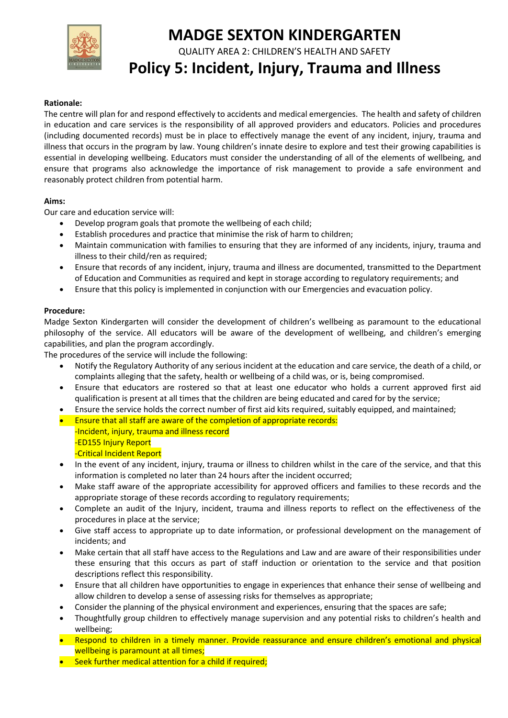

# **MADGE SEXTON KINDERGARTEN**

QUALITY AREA 2: CHILDREN'S HEALTH AND SAFETY

# **Policy 5: Incident, Injury, Trauma and Illness**

## **Rationale:**

The centre will plan for and respond effectively to accidents and medical emergencies. The health and safety of children in education and care services is the responsibility of all approved providers and educators. Policies and procedures (including documented records) must be in place to effectively manage the event of any incident, injury, trauma and illness that occurs in the program by law. Young children's innate desire to explore and test their growing capabilities is essential in developing wellbeing. Educators must consider the understanding of all of the elements of wellbeing, and ensure that programs also acknowledge the importance of risk management to provide a safe environment and reasonably protect children from potential harm.

## **Aims:**

Our care and education service will:

- Develop program goals that promote the wellbeing of each child;
- Establish procedures and practice that minimise the risk of harm to children;
- Maintain communication with families to ensuring that they are informed of any incidents, injury, trauma and illness to their child/ren as required;
- Ensure that records of any incident, injury, trauma and illness are documented, transmitted to the Department of Education and Communities as required and kept in storage according to regulatory requirements; and
- Ensure that this policy is implemented in conjunction with our Emergencies and evacuation policy.

## **Procedure:**

Madge Sexton Kindergarten will consider the development of children's wellbeing as paramount to the educational philosophy of the service. All educators will be aware of the development of wellbeing, and children's emerging capabilities, and plan the program accordingly.

The procedures of the service will include the following:

- Notify the Regulatory Authority of any serious incident at the education and care service, the death of a child, or complaints alleging that the safety, health or wellbeing of a child was, or is, being compromised.
- Ensure that educators are rostered so that at least one educator who holds a current approved first aid qualification is present at all times that the children are being educated and cared for by the service;
- Ensure the service holds the correct number of first aid kits required, suitably equipped, and maintained;
- **Ensure that all staff are aware of the completion of appropriate records:** -Incident, injury, trauma and illness record -ED155 Injury Report -Critical Incident Report
- In the event of any incident, injury, trauma or illness to children whilst in the care of the service, and that this information is completed no later than 24 hours after the incident occurred;
- Make staff aware of the appropriate accessibility for approved officers and families to these records and the appropriate storage of these records according to regulatory requirements;
- Complete an audit of the Injury, incident, trauma and illness reports to reflect on the effectiveness of the procedures in place at the service;
- Give staff access to appropriate up to date information, or professional development on the management of incidents; and
- Make certain that all staff have access to the Regulations and Law and are aware of their responsibilities under these ensuring that this occurs as part of staff induction or orientation to the service and that position descriptions reflect this responsibility.
- Ensure that all children have opportunities to engage in experiences that enhance their sense of wellbeing and allow children to develop a sense of assessing risks for themselves as appropriate;
- Consider the planning of the physical environment and experiences, ensuring that the spaces are safe;
- Thoughtfully group children to effectively manage supervision and any potential risks to children's health and wellbeing;
- Respond to children in a timely manner. Provide reassurance and ensure children's emotional and physical wellbeing is paramount at all times;
- Seek further medical attention for a child if required;